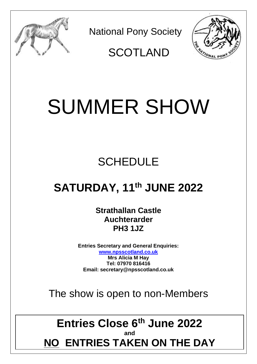

National Pony Society



**SCOTLAND** 

# SUMMER SHOW

# **SCHEDULE**

# **SATURDAY, 11 th JUNE 2022**

**Strathallan Castle Auchterarder PH3 1JZ**

**Entries Secretary and General Enquiries: [www.npsscotland.co.uk](http://www.npsscotland.co.uk/) Mrs Alicia M Hay Tel: 07970 816416 Email: secretary@npsscotland.co.uk**

The show is open to non-Members

# **Entries Close 6th June 2022 and NO ENTRIES TAKEN ON THE DAY**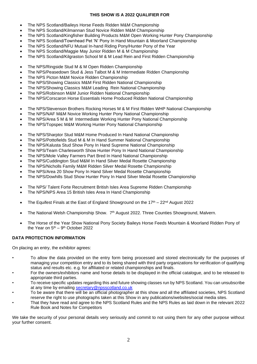#### **THIS SHOW IS A 2022 QUALIFIER FOR**

- The NPS Scotland/Baileys Horse Feeds Ridden M&M Championship
- The NPS Scotland/Kilmannan Stud Novice Ridden M&M Championship
- The NPS Scotland/Kingfisher Building Products M&M Open Working Hunter Pony Championship
- The NPS Scotland/Townhead Pet 'N' Pony In Hand Mountain & Moorland Championship
- The NPS Scotland/NFU Mutual In-hand Riding Pony/Hunter Pony of the Year
- The NPS Scotland/Maggie May Junior Ridden M & M Championship
- The NPS Scotland/Kilgraston School M & M Lead Rein and First Ridden Championship
- The NPS/Ringside Stud M & M Open Ridden Championship
- The NPS/Peasedown Stud & Jess Talbot M & M Intermediate Ridden Championship
- The NPS Picton M&M Novice Ridden Championship
- The NPS/Showing Classics M&M First Ridden National Championship
- The NPS/Showing Classics M&M Leading Rein National Championship
- The NPS/Robinson M&M Junior Ridden National Championship
- The NPS/Corscaron Horse Essentials Home Produced Ridden National Championship
- The NPS/Stevenson Brothers Rocking Horses M & M First Ridden WHP National Championship
- The NPS/NAF M&M Novice Working Hunter Pony National Championship
- The NPS/Area 5 M & M Intermediate Working Hunter Pony National Championship
- The NPS/Topspec M&M Working Hunter Pony National Championship
- The NPS/Sharptor Stud M&M Home Produced In Hand National Championship
- The NPS/Pottofields Stud M & M In Hand Summer National Championship
- The NPS/Kalusta Stud Show Pony In Hand Supreme National Championship
- The NPS/Team Charlesworth Show Hunter Pony In Hand National Championship
- The NPS/Mole Valley Farmers Part Bred In Hand National Championship
- The NPS/Cuddington Stud M&M In Hand Silver Medal Rosette Championship
- The NPS/Nicholls Family M&M Ridden Silver Medal Rosette Championship
- The NPS/Area 20 Show Pony In Hand Silver Medal Rosette Championship
- The NPS/Dowhills Stud Show Hunter Pony In Hand Silver Medal Rosette Championship
- The NPS/ Talent Forte Recruitment British Isles Area Supreme Ridden Championship
- The NPS/NPS Area 15 British Isles Area In Hand Championship
- The Equifest Finals at the East of England Showground on the  $17<sup>th</sup> 22<sup>nd</sup>$  August 2022
- The National Welsh Championship Show. 7<sup>th</sup> August 2022. Three Counties Showground, Malvern.
- The Horse of the Year Show National Pony Society Baileys Horse Feeds Mountain & Moorland Ridden Pony of the Year on 5<sup>th</sup> – 9<sup>th</sup> October 2022

#### **DATA PROTECTION INFORMATION**

On placing an entry, the exhibitor agrees:

- To allow the data provided on the entry form being processed and stored electronically for the purposes of managing your competition entry and to its being shared with third party organizations for verification of qualifying status and results etc. e.g. for affiliated or related championships and finals.
- For the owners/exhibitors name and horse details to be displayed in the official catalogue, and to be released to appropriate third parties.
- To receive specific updates regarding this and future showing classes run by NPS Scotland. You can unsubscribe at any time by emailing [secretary@npsscotland.co.uk](mailto:secretary@npsscotland.co.uk)
- To be aware that there will be an official photographer at this show and all the affiliated societies, NPS Scotland reserve the right to use photographs taken at this Show in any publications/websites/social media sites.
- That they have read and agree to the NPS Scotland Rules and the NPS Rules as laid down in the relevant 2022 Rule Book and Notes for Competitors

We take the security of your personal details very seriously and commit to not using them for any other purpose without your further consent.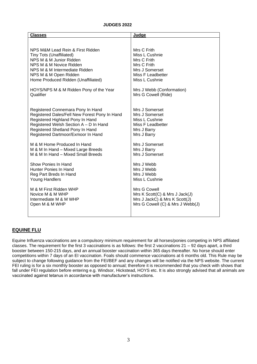#### **JUDGES 2022**

| <b>Classes</b>                                | <b>Judge</b>                     |
|-----------------------------------------------|----------------------------------|
| NPS M&M Lead Rein & First Ridden              | Mrs C Frith                      |
| Tiny Tots (Unaffiliated)                      | Miss L Cushnie                   |
| NPS M & M Junior Ridden                       | Mrs C Frith                      |
| NPS M & M Novice Ridden                       | Mrs C Frith                      |
| NPS M & M Intermediate Ridden                 | Mrs J Somerset                   |
| NPS M & M Open Ridden                         | Miss F Leadbetter                |
| Home Produced Ridden (Unaffiliated)           | Miss L Cushnie                   |
| HOYS/NPS M & M Ridden Pony of the Year        | Mrs J Webb (Conformation)        |
| Qualifier                                     | Mrs G Cowell (Ride)              |
| Registered Connemara Pony In Hand             | Mrs J Somerset                   |
| Registered Dales/Fell New Forest Pony In Hand | Mrs J Somerset                   |
| Registered Highland Pony In Hand              | Miss L Cushnie                   |
| Registered Welsh Section A - D In Hand        | Miss F Leadbetter                |
| Registered Shetland Pony In Hand              | Mrs J Barry                      |
| Registered Dartmoor/Exmoor In Hand            | Mrs J Barry                      |
| M & M Home Produced In Hand                   | Mrs J Somerset                   |
| M & M In Hand - Mixed Large Breeds            | Mrs J Barry                      |
| M & M In Hand - Mixed Small Breeds            | Mrs J Somerset                   |
| Show Ponies In Hand                           | Mrs J Webb                       |
| Hunter Ponies In Hand                         | Mrs J Webb                       |
| Reg Part Breds In Hand                        | Mrs J Webb                       |
| <b>Young Handlers</b>                         | Miss L Cushnie                   |
| M & M First Ridden WHP                        | Mrs G Cowell                     |
| Novice M & M WHP                              | Mrs K Scott(C) & Mrs J Jack(J)   |
| Intermediate M & M WHP                        | Mrs J JackC) & Mrs K Scott(J)    |
| Open M & M WHP                                | Mrs G Cowell (C) & Mrs J Webb(J) |
|                                               |                                  |

#### **EQUINE FLU**

Equine Influenza vaccinations are a compulsory minimum requirement for all horses/ponies competing in NPS affiliated classes. The requirement for the first 3 vaccinations is as follows: the first 2 vaccinations 21 – 92 days apart, a third booster between 150-215 days, and an annual booster vaccination within 365 days thereafter. No horse should enter competitions within 7 days of an EI vaccination. Foals should commence vaccinations at 6 months old. This Rule may be subject to change following guidance from the FEI/BEF and any changes will be notified via the NPS website. The current FEI ruling is for a six monthly booster as opposed to annual; therefore it is recommended that you check with shows that fall under FEI regulation before entering e.g. Windsor, Hickstead, HOYS etc. It is also strongly advised that all animals are vaccinated against tetanus in accordance with manufacturer's instructions.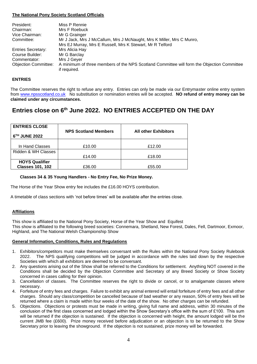#### **The National Pony Society Scotland Officials**

| President:<br>Chairman:<br>Vice Chairman: | Miss P Rennie<br>Mrs F Roebuck<br>Mr G Grainger                                                            |
|-------------------------------------------|------------------------------------------------------------------------------------------------------------|
| Committee:                                | Mr J Jack, Mrs J McCallum, Mrs J McNaught, Mrs K Miller, Mrs C Munro,                                      |
|                                           | Mrs EJ Murray, Mrs E Russell, Mrs K Stewart, Mr R Telford                                                  |
| <b>Entries Secretary:</b>                 | Mrs Alicia Hay                                                                                             |
| Course Builder:                           | Mr G Barclay                                                                                               |
| Commentator:                              | Mrs J Geyer                                                                                                |
| <b>Objection Committee:</b>               | A minimum of three members of the NPS Scotland Committee will form the Objection Committee<br>if required. |

#### **ENTRIES**

The Committee reserves the right to refuse any entry. Entries can only be made via our Entrymaster online entry system from [www.npsscotland.co.uk](http://www.npsscotland.co.uk/) No substitution or nomination entries will be accepted. **NO refund of entry money can be claimed under any circumstances.** 

# **Entries close on 6th June 2022. NO ENTRIES ACCEPTED ON THE DAY**

| <b>ENTRIES CLOSE</b>    | <b>NPS Scotland Members</b> | <b>All other Exhibitors</b> |  |
|-------------------------|-----------------------------|-----------------------------|--|
| 6TH JUNE 2022           |                             |                             |  |
|                         |                             |                             |  |
| In Hand Classes         | £10.00                      | £12.00                      |  |
| Ridden & WH Classes     |                             |                             |  |
|                         | £14.00                      | £18.00                      |  |
| <b>HOYS Qualifier</b>   |                             |                             |  |
| <b>Classes 101, 102</b> | £36.00                      | £55.00                      |  |

#### **Classes 34 & 35 Young Handlers - No Entry Fee, No Prize Money.**

The Horse of the Year Show entry fee includes the £16.00 HOYS contribution.

A timetable of class sections with 'not before times' will be available after the entries close.

#### **Affiliations**

This show is affiliated to the National Pony Society, Horse of the Year Show and Equifest This show is affiliated to the following breed societies: Connemara, Shetland, New Forest, Dales, Fell, Dartmoor, Exmoor, Highland, and The National Welsh Championship Show

#### **General Information, Conditions, Rules and Regulations**

- 1. Exhibitors/competitors must make themselves conversant with the Rules within the National Pony Society Rulebook 2022. The NPS qualifying competitions will be judged in accordance with the rules laid down by the respective Societies with which all exhibitors are deemed to be conversant.
- 2. Any questions arising out of the Show shall be referred to the Conditions for settlement. Anything NOT covered in the Conditions shall be decided by the Objection Committee and Secretary of any Breed Society or Show Society concerned in cases calling for their opinion.
- 3. Cancellation of classes. The Committee reserves the right to divide or cancel, or to amalgamate classes where necessary.
- 4. Forfeiture of entry fees and charges. Failure to exhibit any animal entered will entail forfeiture of entry fees and all other charges. Should any class/competition be cancelled because of bad weather or any reason, 50% of entry fees will be returned where a claim is made within four weeks of the date of the show. No other charges can be refunded.
- 5. Objections. Objections or protests must be made in writing, giving full name and address, within 30 minutes of the conclusion of the first class concerned and lodged within the Show Secretary's office with the sum of £100. This sum will be returned if the objection is sustained. If the objection is concerned with height, the amount lodged will be the current JMB fee (£600). Prize money received before adjudication or an objection is to be returned to the Show Secretary prior to leaving the showground. If the objection is not sustained, prize money will be forwarded.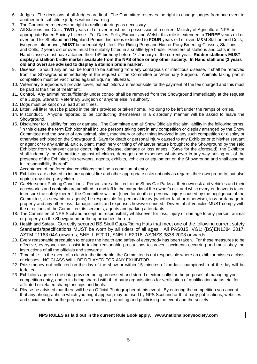- 6. Judges. The decisions of all Judges are final. The Committee reserves the right to change judges from one event to another or to substitute judges without warning.
- 7. The Committee reserves the right to reallocate rings as necessary.
- 8. All Stallions and Colts, **TWO** years old or over, must be in possession of a current Ministry of Agriculture, NPS or appropriate Breed Society License. For Dales, Fells, Exmoor and Welsh, this rule is extended to **THREE** years old or over, and for Shetland and Highland Ponies this rule is extended to **FOUR** years old or over. M&M Stallion and Colts, two years old or over, **MUST** be adequately bitted. For Riding Pony and Hunter Pony Breeding Classes, Stallions and Colts, 2 years old or over, must be suitably bitted in a snaffle type bridle. Handlers of stallions and colts in In-Hand classes must have attained their 14th birthday before 1st January of the current year. **Ridden stallions MUST display a stallion bridle marker available from the NPS office or any other society. In Hand stallions (2 years old and over) are advised to display a stallion bridle marker.**
- 9. Disease. Should any animal be found to be suffering from any contagious or infectious disease, it shall be removed from the Showground immediately at the request of the Committee or Veterinary Surgeon. Animals taking part in competition must be vaccinated against Equine Influenza.
- 10. Veterinary Surgeons will provide cover, but exhibitors are responsible for the payment of the fee charged and this must be paid at the time of treatment.
- 11. Control. Any animal not sufficiently under control shall be removed from the Showground immediately at the request of a Judge, Steward, Veterinary Surgeon or anyone else in authority.
- 12. Dogs must be kept on a lead at all times.
- 13. Litter. All litter must be placed in the bins provided or taken home. No dung to be left under the ramps of lorries.
- 14. Misconduct. Anyone reported to be conducting themselves in a disorderly manner will be asked to leave the Showground.
- 15. Disclaimer for Liability for loss or damage. The Committee and all Show Officials disclaim liability in the following terms: "In this clause the term Exhibitor shall include persons taking part in any competition or display arranged by the Show Committee and the owner of any animal, plant, machinery or other thing involved in any such competition or display or otherwise exhibited on the Showground. Save for death or personal injury caused to any Exhibitor or to his/her servant or agent or to any animal, article, plant, machinery or thing of whatever nature brought to the Showground by the said Exhibitor from whatever cause death, injury, disease, damage or loss arises. (Save for the aforesaid), the Exhibitor shall indemnify the Committee against all claims, damages and expenses whatsoever in any way arising out of the presence of the Exhibitor, his servants, agents, exhibits, vehicles or equipment on the Showground and shall assume full responsibility thereof".

Acceptance of the foregoing conditions shall be a condition of entry.

- 16. Exhibitors are advised to insure against fire and other appropriate risks not only as regards their own property, but also against any third-party claim.
- 17. Car/Horsebox Parking Conditions. Persons are admitted to the Show Car Parks at their own risk and vehicles and their accessories and contents are admitted to and left in the car parks at the owner's risk and while every endeavor is taken to ensure the safety thereof, the Committee will not (save for death or personal injury caused by the negligence of the Committee, its servants or agents) be responsible for personal injury (whether fatal or otherwise), loss or damage to property and any other loss, damage, costs and expenses however caused. Drivers of all vehicles MUST comply with the directions of the Committee, its servants, agents and parking attendants.
- 18. The Committee of NPS Scotland accept no responsibility whatsoever for loss, injury or damage to any person, animal or property on the Showground or the approaches thereto.
- 19. Health and Safety. Correctly secured BS Skull Caps/Riding Hats that meet one of the following current safety Standards/specifications MUST be worn by all riders of all ages. All PAS015; VG1; (BS)EN1384 2017; ASTM F1163 04A onwards; SNELL E2001; SNELL E2016; AS/NZS 3838 2003 onwards.
- 20. Every reasonable precaution to ensure the health and safety of everybody has been taken. For these measures to be effective, everyone must assist in taking reasonable precautions to prevent accidents occurring and must obey the instructions of all the officials and stewards.
- 21. Timetable. In the event of a clash in the timetable, the Committee is not responsible where an exhibitor misses a class or classes. NO CLASS WILL BE DELAYED FOR ANY EXHIBITOR.
- 22. Prize money not collected on the day of the show or within 15 minutes of the last championship of the day will be forfeited.
- 23. Exhibitors agree to the data provided being processed and stored electronically for the purposes of managing your competition entry, and to its being shared with third party organisations for verification of qualification status etc. for affiliated or related championships and finals.
- 24. Please be advised that there will be an Official Photographer at this event. By entering the competition you accept that any photographs in which you might appear, may be used by NPS Scotland or third party publications, websites and social media for the purposes of reporting, promoting and publicising the event and the society.

#### **NPS RULES as laid out in the current Rule Book apply. www.nationalponysociety.com**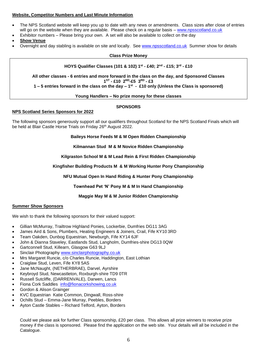#### **Website, Competitor Numbers and Last Minute Information**

- The NPS Scotland website will keep you up to date with any news or amendments. Class sizes after close of entries will go on the website when they are available. Please check on a regular basis – [www.npsscotland.co.uk](http://www.npsscotland.co.uk/)
- Exhibitor numbers Please bring your own. A set will also be available to collect on the day

• **Show Venue**

• Overnight and day stabling is available on site and locally. See [www.npsscotland.co.uk](http://www.npsscotland.co.uk/) Summer show for details

#### **Class Prize Money**

#### **HOYS Qualifier Classes (101 & 102) 1 st - £40; 2nd - £15; 3rd - £10**

**All other classes - 6 entries and more forward in the class on the day, and Sponsored Classes 1 ST - £10 2ND-£5 3RD - £3**

**1 – 5 entries forward in the class on the day – 1 st - £10 only (Unless the Class is sponsored)**

#### **Young Handlers – No prize money for these classes**

#### **SPONSORS**

#### **NPS Scotland Series Sponsors for 2022**

The following sponsors generously support all our qualifiers throughout Scotland for the NPS Scotland Finals which will be held at Blair Castle Horse Trials on Friday 26<sup>th</sup> August 2022.

**Baileys Horse Feeds M & M Open Ridden Championship**

**Kilmannan Stud M & M Novice Ridden Championship**

**Kilgraston School M & M Lead Rein & First Ridden Championship**

**Kingfisher Building Products M & M Working Hunter Pony Championship**

**NFU Mutual Open In Hand Riding & Hunter Pony Championship**

**Townhead Pet 'N' Pony M & M In Hand Championship**

**Maggie May M & M Junior Ridden Championship**

#### **Summer Show Sponsors**

We wish to thank the following sponsors for their valued support:

- Gillian McMurray, Trailtrow Highland Ponies, Lockerbie, Dumfries DG11 3AG
- James Aird & Sons, Plumbers, Heating Engineers & Joiners, Crail, Fife KY10 3RD
- Team Oakden, Dunbog Equestrian, Newburgh, Fife KY14 6JF
- John & Dianna Staveley, Eastlands Stud, Langholm, Dumfries-shire DG13 0QW
- Gartconnell Stud, Killearn, Glasgow G63 9LJ
- Sinclair Photography [www.sinclairphotography.co.uk](http://www.sinclairphotography.co.uk/)
- Mrs Margaret Runcie, c/o Charles Runcie, Haddington, East Lothian
- Craiglaw Stud, Leven, Fife KY8 5AS
- Jane McNaught, (NETHERBRAE), Darvel, Ayrshire
- Keybroyd Stud, Newcastleton, Roxburgh-shire TD9 0TR
- Russell Sutcliffe, (DARRENVALE), Darwen, Lancs
- Fiona Cork Saddles [info@fionacorkshowing.co.uk](mailto:info@fionacorkshowing.co.uk)
- Gordon & Alison Grainger
- KVC Equestrian Katie Common, Dingwall, Ross-shire
- Ochills Stud Emma-Jane Murray, Peebles, Borders
- Ayton Castle Stables Richard Telford, Ayton, Borders

Could we please ask for further Class sponsorship, £20 per class. This allows all prize winners to receive prize money if the class is sponsored. Please find the application on the web site. Your details will all be included in the Catalogue.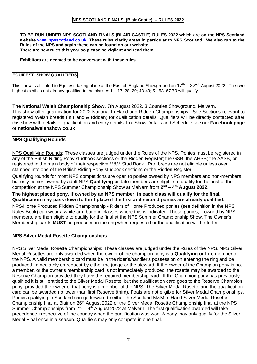#### **NPS SCOTLAND FINALS (Blair Castle) – RULES 2022**

**TO BE RUN UNDER NPS SCOTLAND FINALS (BLAIR CASTLE) RULES 2022 which are on the NPS Scotland website [www.npsscotland.co.uk](http://www.npsscotland.co.uk/) These rules clarify areas in particular to NPS Scotland. We also run to the Rules of the NPS and again these can be found on our website. There are new rules this year so please be vigilant and read them.**

#### **Exhibitors are deemed to be conversant with these rules.**

#### **EQUIFEST SHOW QUALIFIERS**

This show is affiliated to Equifest, taking place at the East of England Showground on 17<sup>th</sup> – 22<sup>nd</sup> August 2022. The two highest exhibits not already qualified in the classes  $1 - 17$ ; 28, 29; 43-49; 51-53; 67-70 will qualify.

**The National Welsh Championship Show.** 7th August 2022. 3 Counties Showground, Malvern. This show offer qualification for 2022 National In Hand and Ridden Championships. See Sections relevant to registered Welsh breeds (In Hand & Ridden) for qualification details. Qualifiers will be directly contacted after this show with details of qualification and entry details. For Show Details and Schedule see our **Facebook page**  or **nationalwelshshow.co.uk**

#### **NPS Qualifying Rounds**

NPS Qualifying Rounds: These classes are judged under the Rules of the NPS. Ponies must be registered in any of the British Riding Pony studbook sections or the Ridden Register; the GSB; the AHSB; the AASB, or registered in the main body of their respective M&M Stud Book. Part breds are not eligible unless over stamped into one of the British Riding Pony studbook sections or the Ridden Register.

Qualifying rounds for most NPS competitions are open to ponies owned by NPS members and non-members but only ponies owned by adult NPS **Qualifying or Life** members are eligible to qualify for the final of the competition at the NPS Summer Championship Show at Malvern from  $2^{nd}$  – 4<sup>th</sup> August 2022.

#### **The highest placed pony, if owned by an NPS member, in each class will qualify for the final. Qualification may pass down to third place if the first and second ponies are already qualified.**

NPS/Home Produced Ridden Championship - Riders of Home Produced ponies (see definition in the NPS Rules Book) can wear a white arm band in classes where this is indicated. These ponies, if owned by NPS members, are then eligible to qualify for the final at the NPS Summer Championship Show. The Owner's Membership cards **MUST** be produced in the ring when requested or the qualification will be forfeit.

#### **NPS Silver Medal Rosette Championships**

NPS Silver Medal Rosette Championships: These classes are judged under the Rules of the NPS. NPS Silver Medal Rosettes are only awarded when the owner of the champion pony is a **Qualifying or Life** member of the NPS. A valid membership card must be in the rider's/handler's possession on entering the ring and be produced immediately on request by either the judge or the steward. If the owner of the Champion pony is not a member, or the owner's membership card is not immediately produced, the rosette may be awarded to the Reserve Champion provided they have the required membership card. If the Champion pony has previously qualified it is still entitled to the Silver Medal Rosette, but the qualification card goes to the Reserve Champion pony, provided the owner of that pony is a member of the NPS. The Silver Medal Rosette and the qualification card can be awarded no lower than first Reserve (third). Foals are not eligible for Silver Medal Championships. Ponies qualifying in Scotland can go forward to either the Scotland M&M In Hand Silver Medal Rosette Championship final at Blair on 26<sup>th</sup> August 2022 or the Silver Medal Rosette Championship final at the NPS Summer Championships from  $2^{nd} - 4^{th}$  August 2022 at Malvern. The first qualification awarded will take precedence irrespective of the country when the qualification was won. A pony may only qualify for the Silver Medal Final once in a season. Qualifiers may only compete in one final.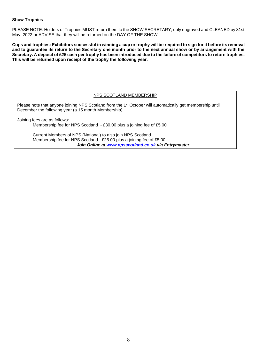#### **Show Trophies**

PLEASE NOTE: Holders of Trophies MUST return them to the SHOW SECRETARY, duly engraved and CLEANED by 31st May, 2022 or ADVISE that they will be returned on the DAY OF THE SHOW.

**Cups and trophies: Exhibitors successful in winning a cup or trophy will be required to sign for it before its removal and to guarantee its return to the Secretary one month prior to the next annual show or by arrangement with the Secretary. A deposit of £25 cash per trophy has been introduced due to the failure of competitors to return trophies. This will be returned upon receipt of the trophy the following year.**

#### NPS SCOTLAND MEMBERSHIP

Please note that anyone joining NPS Scotland from the 1<sup>st</sup> October will automatically get membership until December the following year (a 15 month Membership).

Joining fees are as follows: Membership fee for NPS Scotland - £30.00 plus a joining fee of £5.00

> Current Members of NPS (National) to also join NPS Scotland. Membership fee for NPS Scotland - £25.00 plus a joining fee of £5.00 *Join Online at [www.npsscotland.co.uk](http://www.npsscotland.co.uk/) via Entrymaster*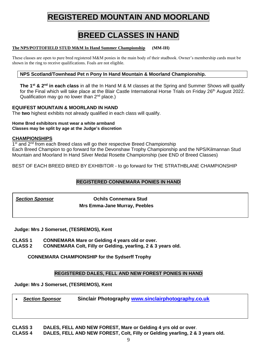# **REGISTERED MOUNTAIN AND MOORLAND**

# **BREED CLASSES IN HAND**

#### **The NPS/POTTOFIELD STUD M&M In Hand Summer Championship (MM-IH)**

These classes are open to pure bred registered M&M ponies in the main body of their studbook. Owner's membership cards must be shown in the ring to receive qualifications. Foals are not eligible.

#### **NPS Scotland/Townhead Pet n Pony In Hand Mountain & Moorland Championship.**

**The 1 st & 2nd in each class** in all the In Hand M & M classes at the Spring and Summer Shows will qualify for the Final which will take place at the Blair Castle International Horse Trials on Friday 26<sup>th</sup> August 2022. Qualification may go no lower than  $2^{nd}$  place.)

#### **EQUIFEST MOUNTAIN & MOORLAND IN HAND**

The **two** highest exhibits not already qualified in each class will qualify.

#### **Home Bred exhibitors must wear a white armband Classes may be split by age at the Judge's discretion**

#### **CHAMPIONSHIPS**

1<sup>st</sup> and 2<sup>nd</sup> from each Breed class will go their respective Breed Championship Each Breed Champion to go forward for the Devonshaw Trophy Championship and the NPS/Kilmannan Stud Mountain and Moorland In Hand Silver Medal Rosette Championship (see END of Breed Classes)

BEST OF EACH BREED BRED BY EXHIBITOR - to go forward for THE STRATHBLANE CHAMPIONSHIP

#### **REGISTERED CONNEMARA PONIES IN HAND**

*Section Sponsor* **Ochils Connemara Stud Mrs Emma-Jane Murray, Peebles**

**Judge: Mrs J Somerset, (TESREMOS), Kent**

- **CLASS 1 CONNEMARA Mare or Gelding 4 years old or over.**
- **CLASS 2 CONNEMARA Colt, Filly or Gelding, yearling, 2 & 3 years old.**

**CONNEMARA CHAMPIONSHIP for the Sydserff Trophy**

#### **REGISTERED DALES, FELL AND NEW FOREST PONIES IN HAND**

**Judge: Mrs J Somerset, (TESREMOS), Kent**

• *Section Sponsor* **Sinclair Photography [www.sinclairphotography.co.uk](http://www.sinclairphotography.co.uk/)**

**CLASS 3 DALES, FELL AND NEW FOREST, Mare or Gelding 4 yrs old or over**. **CLASS 4 DALES, FELL AND NEW FOREST, Colt, Filly or Gelding yearling, 2 & 3 years old.**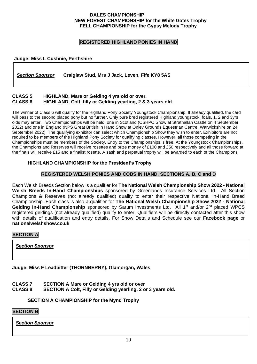#### **DALES CHAMPIONSHIP NEW FOREST CHAMPIONSHIP for the White Gates Trophy FELL CHAMPIONSHIP for the Gypsy Melody Trophy**

#### **REGISTERED HIGHLAND PONIES IN HAND**

#### **Judge: Miss L Cushnie, Perthshire**

*Section Sponsor* **Craiglaw Stud, Mrs J Jack, Leven, Fife KY8 5AS**

#### **CLASS 5 HIGHLAND, Mare or Gelding 4 yrs old or over. HIGHLAND, Colt, filly or Gelding yearling, 2 & 3 years old.**

The winner of Class 6 will qualify for the Highland Pony Society Youngstock Championship. If already qualified, the card will pass to the second placed pony but no further. Only pure bred registered Highland youngstock; foals, 1, 2 and 3yrs olds may enter. Two Championships will be held; one in Scotland (CSHPC Show at Strathallan Castle on 4 September 2022) and one in England (NPS Great British In Hand Show at Onley Grounds Equestrian Centre, Warwickshire on 24 September 2022). The qualifying exhibitor can select which Championship Show they wish to enter. Exhibitors are not required to be members of the Highland Pony Society for qualifying classes. However, all those competing in the Championships must be members of the Society. Entry to the Championships is free. At the Youngstock Championships, the Champions and Reserves will receive rosettes and prize money of £100 and £50 respectively and all those forward at the finals will receive £15 and a finalist rosette. A sash and perpetual trophy will be awarded to each of the Champions.

#### **HIGHLAND CHAMPIONSHIP for the President's Trophy**

#### **REGISTERED WELSH PONIES AND COBS IN HAND. SECTIONS A, B, C and D**

Each Welsh Breeds Section below is a qualifier for **The National Welsh Championship Show 2022 - National Welsh Breeds In-Hand Championships** sponsored by Greenlands Insurance Services Ltd. All Section Champions & Reserves (not already qualified) qualify to enter their respective National In-Hand Breed Championship. Each class is also a qualifier for **The National Welsh Championship Show 2022 - National**  Gelding In-Hand Championship sponsored by Sarum Investments Ltd. All 1<sup>st</sup> and/or 2<sup>nd</sup> placed WPCS registered geldings (not already qualified) qualify to enter. Qualifiers will be directly contacted after this show with details of qualification and entry details. For Show Details and Schedule see our **Facebook page** or **nationalwelshshow.co.uk**

#### **SECTION A**

*Section Sponsor*

**Judge: Miss F Leadbitter (THORNBERRY), Glamorgan, Wales**

- **CLASS 7 SECTION A Mare or Gelding 4 yrs old or over**
- **CLASS 8 SECTION A Colt, Filly or Gelding yearling, 2 or 3 years old.**

#### **SECTION A CHAMPIONSHIP for the Mynd Trophy**

#### **SECTION B**

*Section Sponsor*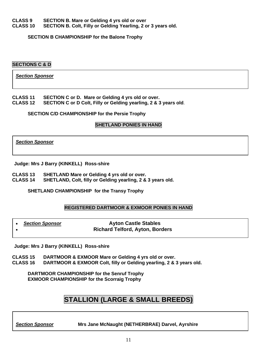**CLASS 9 SECTION B. Mare or Gelding 4 yrs old or over SECTION B. Colt, Filly or Gelding Yearling, 2 or 3 years old.** 

**SECTION B CHAMPIONSHIP for the Balone Trophy** 

#### **SECTIONS C & D**

*Section Sponsor*

# **CLASS 11 SECTION C or D. Mare or Gelding 4 yrs old or over.**

**SECTION C or D Colt. Filly or Gelding yearling, 2 & 3 years old.** 

#### **SECTION C/D CHAMPIONSHIP for the Persie Trophy**

#### **SHETLAND PONIES IN HAND**

*Section Sponsor*

**Judge: Mrs J Barry (KINKELL) Ross-shire**

**CLASS 13 SHETLAND Mare or Gelding 4 yrs old or over.**

**CLASS 14 SHETLAND, Colt, filly or Gelding yearling, 2 & 3 years old.**

**SHETLAND CHAMPIONSHIP for the Transy Trophy** 

#### **REGISTERED DARTMOOR & EXMOOR PONIES IN HAND**

| <b>Section Sponsor</b> | <b>Ayton Castle Stables</b>            |
|------------------------|----------------------------------------|
|                        | <b>Richard Telford, Ayton, Borders</b> |

**Judge: Mrs J Barry (KINKELL) Ross-shire**

**CLASS 15 DARTMOOR & EXMOOR Mare or Gelding 4 yrs old or over.**

**DARTMOOR & EXMOOR Colt, filly or Gelding yearling, 2 & 3 years old.** 

**DARTMOOR CHAMPIONSHIP for the Senruf Trophy EXMOOR CHAMPIONSHIP for the Scorraig Trophy**

# **STALLION (LARGE & SMALL BREEDS)**

*Section Sponsor* **Mrs Jane McNaught (NETHERBRAE) Darvel, Ayrshire**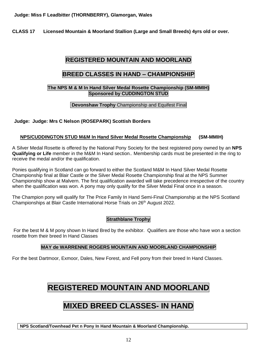**CLASS 17 Licensed Mountain & Moorland Stallion (Large and Small Breeds) 4yrs old or over.**

# **REGISTERED MOUNTAIN AND MOORLAND**

## **BREED CLASSES IN HAND – CHAMPIONSHIP**

#### **The NPS M & M In Hand Silver Medal Rosette Championship (SM-MMIH) Sponsored by CUDDINGTON STUD**

#### **Devonshaw Trophy** Championship and Equifest Final

#### **Judge: Judge: Mrs C Nelson (ROSEPARK) Scottish Borders**

#### **NPS/CUDDINGTON STUD M&M In Hand Silver Medal Rosette Championship (SM-MMIH)**

A Silver Medal Rosette is offered by the National Pony Society for the best registered pony owned by an **NPS Qualifying or Life** member in the M&M In Hand section.. Membership cards must be presented in the ring to receive the medal and/or the qualification.

Ponies qualifying in Scotland can go forward to either the Scotland M&M In Hand Silver Medal Rosette Championship final at Blair Castle or the Silver Medal Rosette Championship final at the NPS Summer Championship show at Malvern. The first qualification awarded will take precedence irrespective of the country when the qualification was won. A pony may only qualify for the Silver Medal Final once in a season.

The Champion pony will qualify for The Price Family In Hand Semi-Final Championship at the NPS Scotland Championships at Blair Castle International Horse Trials on 26<sup>th</sup> August 2022.

#### **Strathblane Trophy**

For the best M & M pony shown In Hand Bred by the exhibitor. Qualifiers are those who have won a section rosette from their breed In Hand Classes

#### **MAY de WARRENNE ROGERS MOUNTAIN AND MOORLAND CHAMPIONSHIP**

For the best Dartmoor, Exmoor, Dales, New Forest, and Fell pony from their breed In Hand Classes.

# **REGISTERED MOUNTAIN AND MOORLAND**

# **MIXED BREED CLASSES- IN HAND**

**NPS Scotland/Townhead Pet n Pony In Hand Mountain & Moorland Championship.**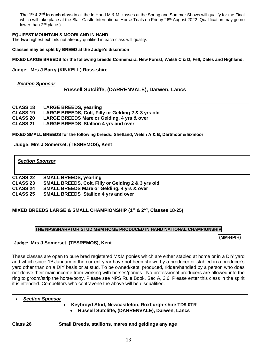**The 1st & 2nd in each class** in all the In Hand M & M classes at the Spring and Summer Shows will qualify for the Final which will take place at the Blair Castle International Horse Trials on Friday 26<sup>th</sup> August 2022. Qualification may go no lower than 2<sup>nd</sup> place.)

#### **EQUIFEST MOUNTAIN & MOORLAND IN HAND**

The **two** highest exhibits not already qualified in each class will qualify.

**Classes may be split by BREED at the Judge's discretion**

**MIXED LARGE BREEDS for the following breeds:Connemara, New Forest, Welsh C & D, Fell, Dales and Highland.**

**Judge: Mrs J Barry (KINKELL) Ross-shire**

#### *Section Sponsor* **Russell Sutcliffe, (DARRENVALE), Darwen, Lancs**

**CLASS 18 LARGE BREEDS, yearling CLASS 19 LARGE BREEDS, Colt, Filly or Gelding 2 & 3 yrs old CLASS 20 LARGE BREEDS Mare or Gelding, 4 yrs & over CLASS 21 LARGE BREEDS Stallion 4 yrs and over**

**MIXED SMALL BREEDS for the following breeds: Shetland, Welsh A & B, Dartmoor & Exmoor**

**Judge: Mrs J Somerset, (TESREMOS), Kent**

#### *Section Sponsor*

| <b>CLASS 22</b> | <b>SMALL BREEDS, yearling</b>                         |
|-----------------|-------------------------------------------------------|
| <b>CLASS 23</b> | SMALL BREEDS, Colt, Filly or Gelding 2 & 3 yrs old    |
| <b>CLASS 24</b> | <b>SMALL BREEDS Mare or Gelding, 4 yrs &amp; over</b> |
| <b>CLASS 25</b> | <b>SMALL BREEDS Stallion 4 yrs and over</b>           |

#### **MIXED BREEDS LARGE & SMALL CHAMPIONSHIP (1 st & 2nd , Classes 18-25)**

#### **THE NPS/SHARPTOR STUD M&M HOME PRODUCED IN HAND NATIONAL CHAMPIONSHIP**

**(MM-HPIH)**

#### **Judge: Mrs J Somerset, (TESREMOS), Kent**

These classes are open to pure bred registered M&M ponies which are either stabled at home or in a DIY yard and which since 1<sup>st</sup> January in the current year have not been shown by a producer or stabled in a producer's yard other than on a DIY basis or at stud. To be owned/kept, produced, ridden/handled by a person who does not derive their main income from working with horses/ponies. No professional producers are allowed into the ring to groom/strip the horse/pony. Please see NPS Rule Book, Sec A, 3.6. Please enter this class in the spirit it is intended. Competitors who contravene the above will be disqualified.

#### • *Section Sponsor*

• **Keybroyd Stud, Newcastleton, Roxburgh-shire TD9 0TR** • **Russell Sutcliffe, (DARRENVALE), Darwen, Lancs**

**Class 26 Small Breeds, stallions, mares and geldings any age**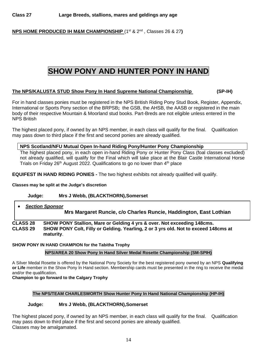**NPS HOME PRODUCED IH M&M CHAMPIONSHIP** (1<sup>st</sup> & 2<sup>nd</sup>, Classes 26 & 27)

# **SHOW PONY AND HUNTER PONY IN HAND**

#### **The NPS/KALUSTA STUD Show Pony In Hand Supreme National Championship (SP-IH)**

For in hand classes ponies must be registered in the NPS British Riding Pony Stud Book, Register, Appendix, International or Sports Pony section of the BRPSB**;** the GSB, the AHSB, the AASB or registered in the main body of their respective Mountain & Moorland stud books. Part-Breds are not eligible unless entered in the NPS British

The highest placed pony, if owned by an NPS member, in each class will qualify for the final. Qualification may pass down to third place if the first and second ponies are already qualified.

#### **NPS Scotland/NFU Mutual Open In-hand Riding Pony/Hunter Pony Championship**

The highest placed pony, in each open in-hand Riding Pony or Hunter Pony Class (foal classes excluded) not already qualified, will qualify for the Final which will take place at the Blair Castle International Horse Trials on Friday 26<sup>th</sup> August 2022. Qualifications to go no lower than 4<sup>th</sup> place

**EQUIFEST IN HAND RIDING PONIES -** The two highest exhibits not already qualified will qualify.

#### **Classes may be split at the Judge's discretion**

#### **Judge: Mrs J Webb, (BLACKTHORN),Somerset**

# • *Section Sponsor* **Mrs Margaret Runcie, c/o Charles Runcie, Haddington, East Lothian**

**CLASS 28 SHOW PONY Stallion, Mare or Gelding 4 yrs & over. Not exceeding 148cms. CLASS 29 SHOW PONY Colt, Filly or Gelding. Yearling, 2 or 3 yrs old. Not to exceed 148cms at maturity**.

#### **SHOW PONY IN HAND CHAMPION for the Tabitha Trophy**

**NPS/AREA 20 Show Pony In Hand Silver Medal Rosette Championship (SM-SPIH)** 

A Silver Medal Rosette is offered by the National Pony Society for the best registered pony owned by an NPS **Qualifying or Life** member in the Show Pony In Hand section. Membership cards must be presented in the ring to receive the medal and/or the qualification.

#### **Champion to go forward to the Calgary Trophy**

#### **The NPS/TEAM CHARLESWORTH Show Hunter Pony In Hand National Championship (HP-IH)**

#### **Judge: Mrs J Webb, (BLACKTHORN),Somerset**

The highest placed pony, if owned by an NPS member, in each class will qualify for the final. Qualification may pass down to third place if the first and second ponies are already qualified. Classes may be amalgamated.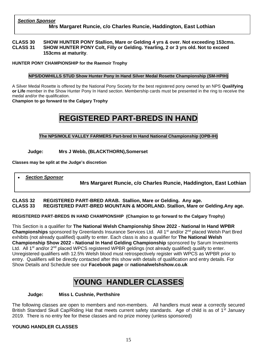#### **CLASS 30 SHOW HUNTER PONY Stallion, Mare or Gelding 4 yrs & over. Not exceeding 153cms. CLASS 31 SHOW HUNTER PONY Colt, Filly or Gelding. Yearling, 2 or 3 yrs old. Not to exceed 153cms at maturity**.

#### **HUNTER PONY CHAMPIONSHIP for the Raemoir Trophy**

#### **NPS/DOWHILLS STUD Show Hunter Pony In Hand Silver Medal Rosette Championship (SM-HPIH)**

A Silver Medal Rosette is offered by the National Pony Society for the best registered pony owned by an NPS **Qualifying or Life** member in the Show Hunter Pony In Hand section. Membership cards must be presented in the ring to receive the medal and/or the qualification.

#### **Champion to go forward to the Calgary Trophy**

# **REGISTERED PART-BREDS IN HAND**

#### **The NPS/MOLE VALLEY FARMERS Part-bred In Hand National Championship (OPB-IH)**

#### **Judge: Mrs J Webb, (BLACKTHORN),Somerset**

**Classes may be split at the Judge's discretion**

#### • *Section Sponsor*

**Mrs Margaret Runcie, c/o Charles Runcie, Haddington, East Lothian**

#### **CLASS 32 REGISTERED PART-BRED ARAB. Stallion, Mare or Gelding. Any age. CLASS 33 REGISTERED PART-BRED MOUNTAIN & MOORLAND. Stallion, Mare or Gelding.Any age.**

**REGISTERED PART-BREDS IN HAND CHAMPIONSHIP (Champion to go forward to the Calgary Trophy)**

This Section is a qualifier for **The National Welsh Championship Show 2022 - National In Hand WPBR Championships** sponsored by Greenlands Insurance Services Ltd. All 1<sup>st</sup> and/or 2<sup>nd</sup> placed Welsh Part Bred exhibits (not already qualified) qualify to enter. Each class is also a qualifier for **The National Welsh Championship Show 2022 - National In Hand Gelding Championship** sponsored by Sarum Investments Ltd. All 1<sup>st</sup> and/or 2<sup>nd</sup> placed WPCS registered WPBR geldings (not already qualified) qualify to enter. Unregistered qualifiers with 12.5% Welsh blood must retrospectively register with WPCS as WPBR prior to entry. Qualifiers will be directly contacted after this show with details of qualification and entry details. For Show Details and Schedule see our **Facebook page** or **nationalwelshshow.co.uk**

# **YOUNG HANDLER CLASSES**

#### **Judge: Miss L Cushnie, Perthshire**

The following classes are open to members and non-members. All handlers must wear a correctly secured British Standard Skull Cap/Riding Hat that meets current safety standards. Age of child is as of 1<sup>st</sup> January 2019. There is no entry fee for these classes and no prize money (unless sponsored)

#### YOUNG HANDLER CLASSES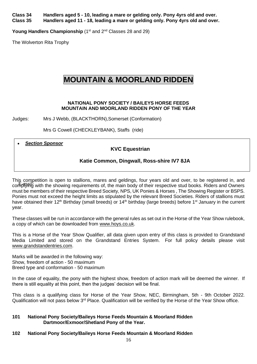**Class 34 Handlers aged 5 - 10, leading a mare or gelding only. Pony 4yrs old and over. Class 35 Handlers aged 11 - 18, leading a mare or gelding only. Pony 4yrs old and over.**

**Young Handlers Championship** (1<sup>st</sup> and 2<sup>nd</sup> Classes 28 and 29)

The Wolverton Rita Trophy

# **MOUNTAIN & MOORLAND RIDDEN**

#### **NATIONAL PONY SOCIETY / BAILEYS HORSE FEEDS MOUNTAIN AND MOORLAND RIDDEN PONY OF THE YEAR**

Judges: Mrs J Webb, (BLACKTHORN),Somerset (Conformation)

Mrs G Cowell (CHECKLEYBANK), Staffs (ride)

• *Section Sponsor*

#### **KVC Equestrian**

#### **Katie Common, Dingwall, Ross-shire IV7 8JA**

This competition is open to stallions, mares and geldings, four years old and over, to be registered in, and complying with the showing requirements of, the main body of their respective stud books. Riders and Owners must be members of their respective Breed Society, NPS, UK Ponies & Horses , The Showing Register or BSPS. Ponies must not exceed the height limits as stipulated by the relevant Breed Societies. Riders of stallions must have obtained their 12<sup>th</sup> Birthday (small breeds) or 14<sup>th</sup> birthday (large breeds) before 1<sup>st</sup> January in the current year.

These classes will be run in accordance with the general rules as set out in the Horse of the Year Show rulebook, a copy of which can be downloaded from [www.hoys.co.uk.](http://www.hoys.co.uk/)

This is a Horse of the Year Show Qualifier, all data given upon entry of this class is provided to Grandstand Media Limited and stored on the Grandstand Entries System. For full policy details please visit [www.grandstandentries.com.](http://www.grandstandentries.com/)

Marks will be awarded in the following way: Show, freedom of action - 50 maximum Breed type and conformation - 50 maximum

In the case of equality, the pony with the highest show, freedom of action mark will be deemed the winner. If there is still equality at this point, then the judges' decision will be final.

This class is a qualifying class for Horse of the Year Show, NEC, Birmingham, 5th - 9th October 2022. Qualification will not pass below 3<sup>rd</sup> Place. Qualification will be verified by the Horse of the Year Show office.

#### **101 National Pony Society/Baileys Horse Feeds Mountain & Moorland Ridden Dartmoor/Exmoor/Shetland Pony of the Year.**

#### **102 National Pony Society/Baileys Horse Feeds Mountain & Moorland Ridden**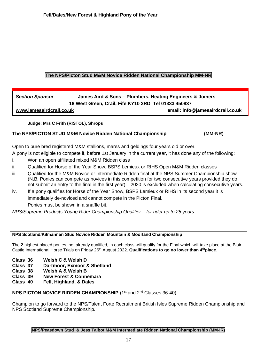#### **The NPS/Picton Stud M&M Novice Ridden National Championship MM-NR**

## *Section Sponsor* **James Aird & Sons – Plumbers, Heating Engineers & Joiners 18 West Green, Crail, Fife KY10 3RD Tel 01333 450837 [www.jamesairdcrail.co.uk](http://www.jamesairdcrail.co.uk/) email: info@jamesairdcrail.co.uk**

#### **Judge: Mrs C Frith (RISTOL), Shrops**

#### **The NPS/PICTON STUD M&M Novice Ridden National Championship****(MM-NR)**

Open to pure bred registered M&M stallions, mares and geldings four years old or over.

A pony is not eligible to compete if, before 1st January in the current year, it has done any of the following:

- i. Won an open affiliated mixed M&M Ridden class
- ii. Qualified for Horse of the Year Show, BSPS Lemieux or RIHS Open M&M Ridden classes
- iii. Qualified for the M&M Novice or Intermediate Ridden final at the NPS Summer Championship show (N.B. Ponies can compete as novices in this competition for two consecutive years provided they do not submit an entry to the final in the first year). 2020 is excluded when calculating consecutive years.
- iv. If a pony qualifies for Horse of the Year Show, BSPS Lemieux or RIHS in its second year it is immediately de-noviced and cannot compete in the Picton Final. Ponies must be shown in a snaffle bit.

*NPS/Supreme Products Young Rider Championship Qualifier – for rider up to 25 years*

#### **NPS Scotland/Kilmannan Stud Novice Ridden Mountain & Moorland Championship**

The **2** highest placed ponies, not already qualified, in each class will qualify for the Final which will take place at the Blair Castle International Horse Trials on Friday 26<sup>th</sup> August 2022. **Qualifications to go no lower than 4<sup>th</sup>place**.

- **Class 36 Welsh C & Welsh D**
- **Class 37 Dartmoor, Exmoor & Shetland**
- **Class 38 Welsh A & Welsh B**
- **Class 39 New Forest & Connemara**
- **Class 40 Fell, Highland, & Dales**

#### **NPS PICTON NOVICE RIDDEN CHAMPIONSHIP** (1<sup>st</sup> and 2<sup>nd</sup> Classes 36-40).

Champion to go forward to the NPS/Talent Forte Recruitment British Isles Supreme Ridden Championship and NPS Scotland Supreme Championship.

#### **NPS/Peasdown Stud & Jess Talbot M&M Intermediate Ridden National Championship (MM-IR)**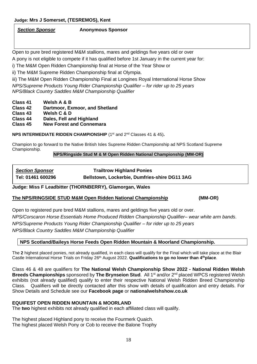*Section Sponsor* **Anonymous Sponsor** 

Open to pure bred registered M&M stallions, mares and geldings five years old or over

A pony is not eligible to compete if it has qualified before 1st January in the current year for:

i) The M&M Open Ridden Championship final at Horse of the Year Show or

ii) The M&M Supreme Ridden Championship final at Olympia.

iii) The M&M Open Ridden Championship Final at Longines Royal International Horse Show *NPS/Supreme Products Young Rider Championship Qualifier – for rider up to 25 years NPS/Black Country Saddles M&M Championship Qualifier*

**Class 41 Welsh A & B**

**Class 42 Dartmoor, Exmoor, and Shetland** 

**Class 43 Welsh C & D**

**Class 44 Dales, Fell and Highland**

**Class 45 New Forest and Connemara**

**NPS INTERMEDIATE RIDDEN CHAMPIONSHIP** (1<sup>st</sup> and 2<sup>nd</sup> Classes 41 & 45).

Champion to go forward to the Native British Isles Supreme Ridden Championship ad NPS Scotland Supreme Championship.

#### **NPS/Ringside Stud M & M Open Ridden National Championship (MM-OR)**

| <b>Section Sponsor</b> | <b>Trailtrow Highland Ponies</b>              |
|------------------------|-----------------------------------------------|
| Tel: 01461 600296      | Bellstown, Lockerbie, Dumfries-shire DG11 3AG |

#### **Judge: Miss F Leadbitter (THORNBERRY), Glamorgan, Wales**

#### **The NPS/RINGSIDE STUD M&M Open Ridden National Championship (MM-OR)**

Open to registered pure bred M&M stallions, mares and geldings five years old or over. *NPS/Corscaron Horse Essentials Home Produced Ridden Championship Qualifier– wear white arm bands*. *NPS/Supreme Products Young Rider Championship Qualifier – for rider up to 25 years NPS/Black Country Saddles M&M Championship Qualifier*

#### **NPS Scotland/Baileys Horse Feeds Open Ridden Mountain & Moorland Championship.**

The **2** highest placed ponies, not already qualified, in each class will qualify for the Final which will take place at the Blair Castle International Horse Trials on Friday 26<sup>th</sup> August 2022. **Qualifications to go no lower than 4<sup>th</sup>place**.

Class 46 & 48 are qualifiers for **The National Welsh Championship Show 2022 - National Ridden Welsh Breeds Championships** sponsored by **The Brynseion Stud**. All 1<sup>st</sup> and/or 2<sup>nd</sup> placed WPCS registered Welsh exhibits (not already qualified) qualify to enter their respective National Welsh Ridden Breed Championship Class. Qualifiers will be directly contacted after this show with details of qualification and entry details. For Show Details and Schedule see our **Facebook page** or **nationalwelshshow.co.uk**

#### **EQUIFEST OPEN RIDDEN MOUNTAIN & MOORLAND**

The **two** highest exhibits not already qualified in each affiliated class will qualify.

The highest placed Highland pony to receive the Fourmerk Quaich. The highest placed Welsh Pony or Cob to receive the Balone Trophy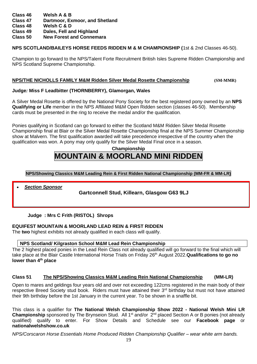### **Class 46 Welsh A & B**

- **Class 47 Dartmoor, Exmoor, and Shetland**
- **Class 48 Welsh C & D**
- **Class 49 Dales, Fell and Highland**
- **Class 50 New Forest and Connemara**

### **NPS SCOTLAND/BAILEYS HORSE FEEDS RIDDEN M & M CHAMPIONSHIP (**1st & 2nd Classes 46-50).

Champion to go forward to the NPS/Talent Forte Recruitment British Isles Supreme Ridden Championship and NPS Scotland Supreme Championship.

### **NPS/THE NICHOLLS FAMILY M&M Ridden Silver Medal Rosette Championship (SM-MMR)**

### **Judge***:* **Miss F Leadbitter (THORNBERRY), Glamorgan, Wales**

A Silver Medal Rosette is offered by the National Pony Society for the best registered pony owned by an **NPS Qualifying or Life** member in the NPS Affiliated M&M Open Ridden section (classes 46-50). Membership cards must be presented in the ring to receive the medal and/or the qualification.

Ponies qualifying in Scotland can go forward to either the Scotland M&M Ridden Silver Medal Rosette Championship final at Blair or the Silver Medal Rosette Championship final at the NPS Summer Championship show at Malvern. The first qualification awarded will take precedence irrespective of the country when the qualification was won. A pony may only qualify for the Silver Medal Final once in a season.

# **Championship MOUNTAIN & MOORLAND MINI RIDDEN**

**NPS/Showing Classics M&M Leading Rein & First Ridden National Championship (MM-FR & MM-LR)**

• *Section Sponsor*

**Gartconnell Stud, Killearn, Glasgow G63 9LJ**

## **Judge : Mrs C Frith (RISTOL) Shrops**

## **EQUIFEST MOUNTAIN & MOORLAND LEAD REIN & FIRST RIDDEN**

The **two** highest exhibits not already qualified in each class will qualify.

### **NPS Scotland/ Kilgraston School M&M Lead Rein Championship**

The 2 highest placed ponies in the Lead Rein Class not already qualified will go forward to the final which will take place at the Blair Castle International Horse Trials on Friday 26 th August 2022.**Qualifications to go no lower than 4th place**

# **Class 51 The NPS/Showing Classics M&M Leading Rein National Championship (MM-LR)**

Open to mares and geldings four years old and over not exceeding 122cms registered in the main body of their respective Breed Society stud book. Riders must have attained their 3<sup>rd</sup> birthday but must not have attained their 9th birthday before the 1st January in the current year. To be shown in a snaffle bit.

This class is a qualifier for **The National Welsh Championship Show 2022 - National Welsh Mini LR Championship** sponsored by The Brynseion Stud. All 1<sup>st</sup> and/or 2<sup>nd</sup> placed Section A or B ponies (not already qualified) qualify to enter. For Show Details and Schedule see our **Facebook page** or **nationalwelshshow.co.uk**

*NPS/Corscaron Horse Essentials Home Produced Ridden Championship Qualifier – wear white arm bands.*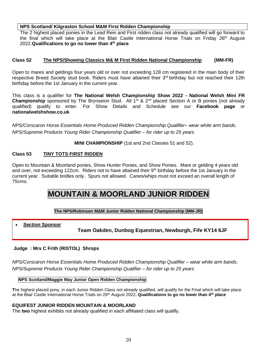#### **NPS Scotland/ Kilgraston School M&M First Ridden Championship**

The 2 highest placed ponies in the Lead Rein and First ridden class not already qualified will go forward to the final which will take place at the Blair Castle International Horse Trials on Friday 26<sup>th</sup> August 2022.**Qualifications to go no lower than 4th place**

#### **Class 52 The NPS/Showing Classics M& M First Ridden National Championship (MM-FR)**

Open to mares and geldings four years old or over not exceeding 128 cm registered in the main body of their respective Breed Society stud book. Riders must have attained their 3rd birthday but not reached their 12th birthday before the 1st January in the current year.

This class is a qualifier for **The National Welsh Championship Show 2022 - National Welsh Mini FR Championship** sponsored by The Brynseion Stud. All 1<sup>st</sup> & 2<sup>nd</sup> placed Section A or B ponies (not already qualified) qualify to enter. For Show Details and Schedule see our **Facebook page** or **nationalwelshshow.co.uk**

*NPS/Corscaron Horse Essentials Home Produced Ridden Championship Qualifier– wear white arm bands*. *NPS/Supreme Products Young Rider Championship Qualifier – for rider up to 25 years*

**MINI CHAMPIONSHIP** (1st and 2nd Classes 51 and 52).

#### **Class 53 TINY TOTS FIRST RIDDEN**

Open to Mountain & Moorland ponies, Show Hunter Ponies, and Show Ponies. Mare or gelding 4 years old and over, not exceeding 122cm. Riders not to have attained their 9<sup>th</sup> birthday before the 1st January in the current year. Suitable bridles only. Spurs not allowed. Canes/whips must not exceed an overall length of 75cms.

# **MOUNTAIN & MOORLAND JUNIOR RIDDEN**

#### **The NPS/Robinson M&M Junior Ridden National Championship (MM-JR)**

• *Section Sponsor*

#### **Team Oakden, Dunbog Equestrian, Newburgh, Fife KY14 6JF**

#### **Judge : Mrs C Frith (RISTOL) Shrops**

*NPS/Corscaron Horse Essentials Home Produced Ridden Championship Qualifier – wear white arm bands*. *NPS/Supreme Products Young Rider Championship Qualifier – for rider up to 25 years*

**NPS Scotland/Maggie May Junior Open Ridden Championship**

**T**he highest placed pony, in each Junior Ridden Class not already qualified, will qualify for the Final which will take place at the Blair Castle International Horse Trials on 26 th August 2022**. Qualifications to go no lower than 4th place**

#### **EQUIFEST JUNIOR RIDDEN MOUNTAIN & MOORLAND**

The **two** highest exhibits not already qualified in each affiliated class will qualify.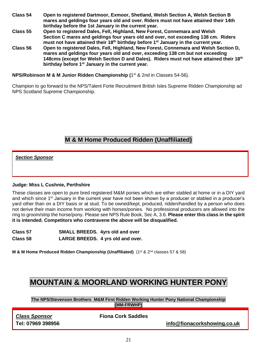- **Class 54 Open to registered Dartmoor, Exmoor, Shetland, Welsh Section A, Welsh Section B mares and geldings four years old and over. Riders must not have attained their 14th birthday before the 1st January in the current year.**
- **Class 55 Open to registered Dales, Fell, Highland, New Forest, Connemara and Welsh Section C mares and geldings four years old and over, not exceeding 138 cm. Riders must not have attained their 18th birthday before 1st January in the current year.**
- **Class 56 Open to registered Dales, Fell, Highland, New Forest, Connemara and Welsh Section D, mares and geldings four years old and over, exceeding 138 cm but not exceeding 148cms (except for Welsh Section D and Dales). Riders must not have attained their 18th birthday before 1st January in the current year.**

**NPS/Robinson M & M Junior Ridden Championship (**1 st & 2nd in Classes 54-56).

Champion to go forward to the NPS/Talent Forte Recruitment British Isles Supreme Ridden Championship ad NPS Scotland Supreme Championship.

# **M & M Home Produced Ridden (Unaffiliated)**

*Section Sponsor*

#### **Judge: Miss L Cushnie, Perthshire**

These classes are open to pure bred registered M&M ponies which are either stabled at home or in a DIY yard and which since 1<sup>st</sup> January in the current year have not been shown by a producer or stabled in a producer's yard other than on a DIY basis or at stud. To be owned/kept, produced, ridden/handled by a person who does not derive their main income from working with horses/ponies. No professional producers are allowed into the ring to groom/strip the horse/pony. Please see NPS Rule Book, Sec A, 3.6. **Please enter this class in the spirit it is intended. Competitors who contravene the above will be disqualified.** 

| Class 57 | <b>SMALL BREEDS.</b> 4yrs old and over |                                   |
|----------|----------------------------------------|-----------------------------------|
| Class 58 |                                        | LARGE BREEDS. 4 yrs old and over. |

**M & M Home Produced Ridden Championship (Unaffiliated)** (1<sup>st</sup> & 2<sup>nd</sup> classes 57 & 58)

# **MOUNTAIN & MOORLAND WORKING HUNTER PONY**

**The NPS/Stevenson Brothers M&M First Ridden Working Hunter Pony National Championship (MM-FRWHP)**

*Class Sponsor* **Fiona Cork Saddles**

**Tel: 07969 398956 [info@fionacorkshowing.co.uk](mailto:info@fionacorkshowing.co.uk)**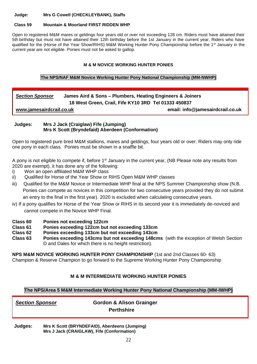**Judge: Mrs G Cowell (CHECKLEYBANK), Staffs**

#### **Class 59 Mountain & Moorland FIRST RIDDEN WHP**

Open to registered M&M mares or geldings four years old or over not exceeding 128 cm. Riders must have attained their 5th birthday but must not have attained their 12th birthday before the 1st January in the current year. Riders who have qualified for the (Horse of the Year Show/RIHS) M&M Working Hunter Pony Championship before the 1<sup>st</sup> January in the current year are not eligible. Ponies must not be asked to gallop.

#### **M & M NOVICE WORKING HUNTER PONIES**

#### **The NPS/NAF M&M Novice Working Hunter Pony National Championship (MM-NWHP)**

### *Section Sponsor* **James Aird & Sons – Plumbers, Heating Engineers & Joiners 18 West Green, Crail, Fife KY10 3RD Tel 01333 450837**

**[www.jamesairdcrail.co.uk](http://www.jamesairdcrail.co.uk/) email: info@jamesairdcrail.co.uk**

#### **Judges: Mrs J Jack (Craiglaw) Fife (Jumping) Mrs K Scott (Bryndefaid) Aberdeen (Conformation)**

Open to registered pure bred M&M stallions, mares and geldings, four years old or over. Riders may only ride one pony in each class. Ponies must be shown in a snaffle bit.

A pony is not eligible to compete if, before 1<sup>st</sup> January in the current year, (NB Please note any results from 2020 are exempt), it has done any of the following:

- i) Won an open affiliated M&M WHP class
- ii) Qualified for Horse of the Year Show or RIHS Open M&M WHP classes
- iii) Qualified for the M&M Novice or Intermediate WHP final at the NPS Summer Championship show (N.B. Ponies can compete as novices in this competition for two consecutive years provided they do not submit an entry to the final in the first year). 2020 is excluded when calculating consecutive years.
- iv) If a pony qualifies for Horse of the Year Show or RIHS in its second year it is immediately de-noviced and cannot compete in the Novice WHP Final.
- **Class 60 Ponies not exceeding 122cm**
- **Class 61 Ponies exceeding 122cm but not exceeding 133cm**
- **Class 62 Ponies exceeding 133cm but not exceeding 143cm**
- **Class 63 Ponies exceeding 143cms but not exceeding 148cms** (with the exception of Welsh Section D and Dales for which there is no height restriction).

**NPS M&M NOVICE WORKING HUNTER PONY CHAMPIONSHIP** (1st and 2nd Classes 60- 63) Champion & Reserve Champion to go forward to the Supreme Working Hunter Pony Championship

#### **M & M INTERMEDIATE WORKING HUNTER PONIES**

#### **The NPS/Area 5 M&M Intermediate Working Hunter Pony National Championship (MM-IWHP)**

*Section Sponsor* **Gordon & Alison Grainger Perthshire**

**Judges: Mrs K Scott (BRYNDEFAID), Aberdeens (Jumping) Mrs J Jack (CRAIGLAW), Fife (Conformation)**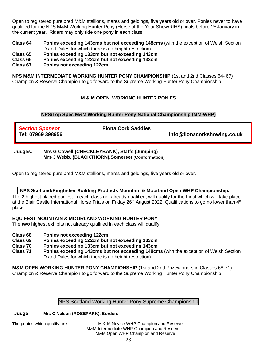Open to registered pure bred M&M stallions, mares and geldings, five years old or over. Ponies never to have qualified for the NPS M&M Working Hunter Pony (Horse of the Year Show/RIHS) finals before 1<sup>st</sup> January in the current year. Riders may only ride one pony in each class.

**Class 64 Ponies exceeding 143cms but not exceeding 148cms** (with the exception of Welsh Section D and Dales for which there is no height restriction).

**Class 65 Ponies exceeding 133cm but not exceeding 143cm** 

**Class 66 Ponies exceeding 122cm but not exceeding 133cm** 

**Class 67 Ponies not exceeding 122cm** 

**NPS M&M INTERMEDIATE WORKING HUNTER PONY CHAMPIONSHIP** (1st and 2nd Classes 64- 67) Champion & Reserve Champion to go forward to the Supreme Working Hunter Pony Championship

#### **M & M OPEN WORKING HUNTER PONIES**

#### **NPS/Top Spec M&M Working Hunter Pony National Championship (MM-WHP)**

*Section Sponsor* **Fiona Cork Saddles Tel: 07969 398956 [info@fionacorkshowing.co.uk](mailto:info@fionacorkshowing.co.uk)**

**Judges: Mrs G Cowell (CHECKLEYBANK), Staffs (Jumping) Mrs J Webb, (BLACKTHORN),Somerset (Conformation)**

Open to registered pure bred M&M stallions, mares and geldings, five years old or over.

#### **NPS Scotland/Kingfisher Building Products Mountain & Moorland Open WHP Championship.**

The 2 highest placed ponies, in each class not already qualified, will qualify for the Final which will take place at the Blair Castle International Horse Trials on Friday 26<sup>th</sup> August 2022. Qualifications to go no lower than 4<sup>th</sup> place

#### **EQUIFEST MOUNTAIN & MOORLAND WORKING HUNTER PONY**

The **two** highest exhibits not already qualified in each class will qualify.

- **Class 68 Ponies not exceeding 122cm**
- **Class 69 Ponies exceeding 122cm but not exceeding 133cm**
- **Class 70 Ponies exceeding 133cm but not exceeding 143cm**
- **Class 71 Ponies exceeding 143cms but not exceeding 148cms** (with the exception of Welsh Section D and Dales for which there is no height restriction).

**M&M OPEN WORKING HUNTER PONY CHAMPIONSHIP** (1st and 2nd Prizewinners in Classes 68-71). Champion & Reserve Champion to go forward to the Supreme Working Hunter Pony Championship

#### NPS Scotland Working Hunter Pony Supreme Championship

#### **Judge: Mrs C Nelson (ROSEPARK), Borders**

The ponies which qualify are: M & M Novice WHP Champion and Reserve M&M Intermediate WHP Champion and Reserve M&M Open WHP Champion and Reserve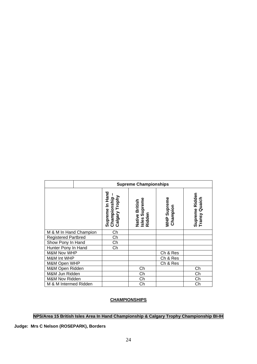|                            | <b>Supreme Championships</b>                        |                                                      |                         |                                                 |
|----------------------------|-----------------------------------------------------|------------------------------------------------------|-------------------------|-------------------------------------------------|
|                            | Supreme In Hand<br>Championship -<br>Calgary Trophy | Supreme<br>Native British<br>Isles Supreme<br>Ridden | WHP Supreme<br>Champion | Supreme Ridden<br>Transy Quaich<br>ransy Quaich |
| M & M In Hand Champion     | Ch                                                  |                                                      |                         |                                                 |
| <b>Registered Partbred</b> | Ch                                                  |                                                      |                         |                                                 |
| Show Pony In Hand          | Ch                                                  |                                                      |                         |                                                 |
| Hunter Pony In Hand        | Ch                                                  |                                                      |                         |                                                 |
| <b>M&amp;M Nov WHP</b>     |                                                     |                                                      | Ch & Res                |                                                 |
| M&M Int WHP                |                                                     |                                                      | Ch & Res                |                                                 |
| M&M Open WHP               |                                                     |                                                      | Ch & Res                |                                                 |
| M&M Open Ridden            |                                                     | Ch                                                   |                         | Ch                                              |
| M&M Jun Ridden             |                                                     | Ch                                                   |                         | Ch                                              |
| M&M Nov Ridden             |                                                     | Ch                                                   |                         | Ch                                              |
| M & M Intermed Ridden      |                                                     | Ch                                                   |                         | Ch                                              |

#### **CHAMPIONSHIPS**

#### **NPS/Area 15 British Isles Area In Hand Championship & Calgary Trophy Championship BI-IH**

#### **Judge: Mrs C Nelson (ROSEPARK), Borders**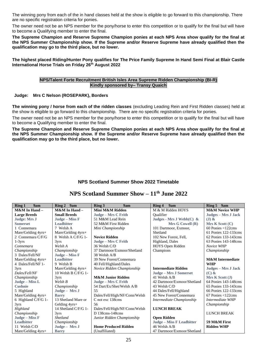The winning pony from each of the in hand classes held at the show is eligible to go forward to this championship. There are no specific registration criteria for ponies.

The owner need not be an NPS member for the pony/horse to enter this competition or to qualify for the final but will have to become a Qualifying member to enter the final.

**The Supreme Champion and Reserve Supreme Champion ponies at each NPS Area show qualify for the final at the NPS Summer Championship show. If the Supreme and/or Reserve Supreme have already qualified then the qualification may go to the third place, but no lower.**

**The highest placed Riding/Hunter Pony qualifies for The Price Family Supreme In Hand Semi Final at Blair Castle International Horse Trials on Friday 26th August 2022**

#### **NPS/Talent Forte Recruitment British Isles Area Supreme Ridden Championship (BI-R) Kindly sponsored by– Transy Quaich**

#### **Judge: Mrs C Nelson (ROSEPARK), Borders**

**The winning pony / horse from each of the ridden classes** (excluding Leading Rein and First Ridden classes) held at the show is eligible to go forward to this championship. There are no specific registration criteria for ponies.

The owner need not be an NPS member for the pony/horse to enter this competition or to qualify for the final but will have to become a Qualifying member to enter the final.

**The Supreme Champion and Reserve Supreme Champion ponies at each NPS Area show qualify for the final at the NPS Summer Championship show. If the Supreme and/or Reserve Supreme have already qualified then the qualification may go to the third place, but no lower.**

#### **NPS Scotland Summer Show 2022 Timetable**

| 9am<br><b>Ring 1</b> | Ring 2 9am           | Ring 3<br>9am                 | 9am<br>Ring 4               | Ring 5 9am                       |
|----------------------|----------------------|-------------------------------|-----------------------------|----------------------------------|
| M&M In Hand -        | M&M In Hand-         | Mini M&M Ridden               | M & M Ridden HOYS           | <b>M&amp;M Novice WHP</b>        |
| <b>Large Breeds</b>  | <b>Small Breeds</b>  | Judge - Mrs C Frith           | <b>Oualifier</b>            | Judges - Mrs J Jack              |
| <b>Judge: Mrs J</b>  | Judge – Miss F       | 51 M&M Lead Rein              | Judges - Mrs J Webb $(C)$ & | $(J)$ &                          |
| <b>Somerset</b>      | <b>Leadbitter</b>    | 52 M&M First Ridden           | Mrs G Cowell (R)            | Mrs K Scott (C)                  |
| 1 Connemara          | 7 Welsh A            | Mini Championship             | 101 Dartmoor, Exmoor,       | $60$ Ponies $\leq 122$ cms       |
| Mare/Gelding 4yrs+   | Mare/Gelding 4yrs+   |                               | Shetland                    | 61 Ponies 122-133cms             |
| 2 Connemara C/F/G    | 8 Welsh A C/F/G 1-   | <b>Novice Ridden</b>          | 102 New Forest, Fell,       | 62 Ponies 133-143cms             |
| $1-3yrs$             | 3yrs                 | Judge - Mrs C Frith           | Highland, Dales             | 63 Ponies 143-148cms             |
| Connemara            | Welsh A              | 36 Welsh C/D                  | HOYS Open Ridden            | Novice WHP                       |
| Championship         | Championship         | 37 Dartmoor/Exmoor/Shetland   | Champions                   | Championship                     |
| 3 Dales/Fell/NF      | Judge - Miss F       | 38 Welsh A/B                  |                             |                                  |
| Mare/Gelding $4yrs+$ | <b>Leadbitter</b>    | 39 New Forest/Connemara       |                             | <b>M&amp;M</b> Intermediate      |
| 4 Dales/Fell/NF 1-   | 9 Welsh B            | 40 Fell/Highland/Dales        |                             | <b>WHP</b>                       |
| 3yrs                 | Mare/Gelding 4yrs+   | Novice Ridden Championship    | <b>Intermediate Ridden</b>  | Judges - Mrs J Jack              |
| Dales/Fell/NF        | 10 Welsh B C/F/G 1-  |                               | Judge - Mrs J Somerset      | $(C)$ &                          |
| Championship         | 3yrs                 | <b>M&amp;M Junior Ridden</b>  | 41 Welsh A/B                | Mrs K Scott (J)                  |
| Judge - Miss L       | Welsh B              | Judge - Mrs C Frith           | 42 Dartmoor/Exmoor/Shetland | 64 Ponies 143-148cms             |
| <b>Cushnie</b>       | Championship         | 54 Dart/Ex/Shet/Welsh A/B     | 43 Welsh C/D                | 65 Ponies 133-143cms             |
| 5 Highland           | Judge - Mrs J        | 55                            | 44 Dales/Fell/Highland      | 66 Ponies 122-133cms             |
| Mare/Gelding 4yrs+   | <b>Barry</b>         | Dales/Fell/High/NF/Conn/Welsh | 45 New Forest/Connemara     | $67$ Ponies $<$ 122 $\text{cms}$ |
| 6 Highland C/F/G 1-  | 13 Shetland Mare or  | C not exc 138cms              | Intermediate Championship   | Intermediate WHP                 |
| 3yrs                 | Gelding 4yrs+        | 56                            |                             | Championship                     |
| Highland             | 14 Shetland C/F/G 1- | Dales/Fell/High/NF/Conn/Welsh | <b>LUNCH BREAK</b>          |                                  |
| Championship         | 3yrs                 | D 138cms-148cms               |                             | <b>LUNCH BREAK</b>               |
| Judge - Miss F       | <b>Shetland</b>      | Junior Ridden Championship    | <b>Open Ridden</b>          |                                  |
| <b>Leadbitter</b>    | Championship         |                               | Judge - Miss F Leadbitter   | 59 M&M First                     |
| 11 Welsh C/D         | Judge - Mrs J        | <b>Home Produced Ridden</b>   | 46 Welsh A/B                | <b>Ridden WHP</b>                |
| Mare/Gelding 4yrs+   | <b>Barry</b>         | (Unaffiliated)                | 47 Dartmoor/Exmoor/Shetland |                                  |

# **NPS Scotland Summer Show – 11th June 2022**